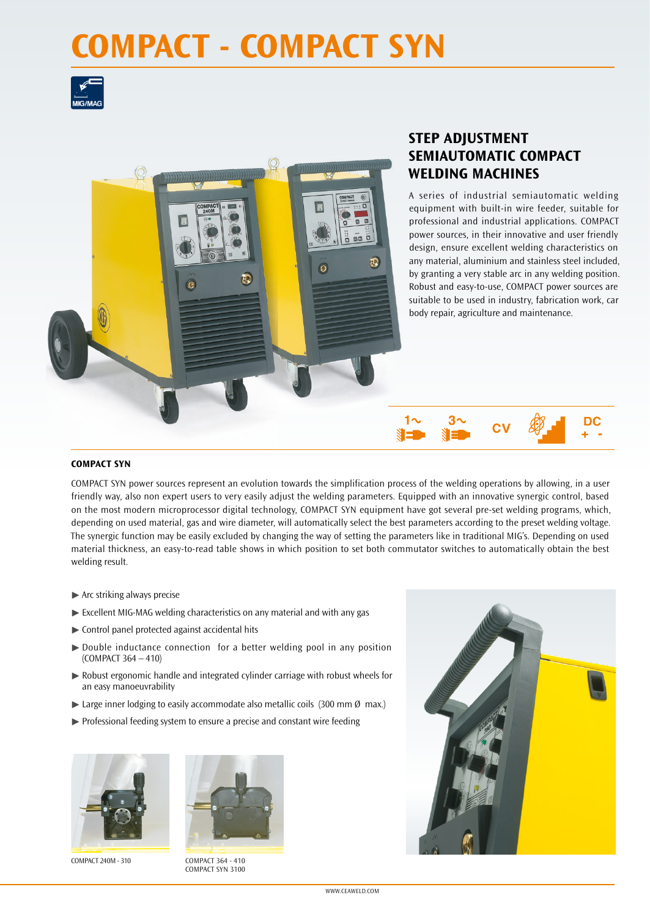# **COMPACT - COMPACT SYN**





## **STEP ADJUSTMENT SEMIAUTOMATIC COMPACT WELDING MACHINES**

3^

A series of industrial semiautomatic welding equipment with built-in wire feeder, suitable for professional and industrial applications. COMPACT power sources, in their innovative and user friendly design, ensure excellent welding characteristics on any material, aluminium and stainless steel included, by granting a very stable arc in any welding position. Robust and easy-to-use, COMPACT power sources are suitable to be used in industry, fabrication work, car body repair, agriculture and maintenance.

DC

#### **COMPACT SYN**

COMPACT SYN power sources represent an evolution towards the simplification process of the welding operations by allowing, in a user friendly way, also non expert users to very easily adjust the welding parameters. Equipped with an innovative synergic control, based on the most modern microprocessor digital technology, COMPACT SYN equipment have got several pre-set welding programs, which, depending on used material, gas and wire diameter, will automatically select the best parameters according to the preset welding voltage. The synergic function may be easily excluded by changing the way of setting the parameters like in traditional MIG's. Depending on used material thickness, an easy-to-read table shows in which position to set both commutator switches to automatically obtain the best welding result.

- $\blacktriangleright$  Arc striking always precise
- ▶ Excellent MIG-MAG welding characteristics on any material and with any gas
- $\triangleright$  Control panel protected against accidental hits
- ▶ Double inductance connection for a better welding pool in any position (COMPACT 364 – 410)
- $\triangleright$  Robust ergonomic handle and integrated cylinder carriage with robust wheels for an easy manoeuvrability
- Earge inner lodging to easily accommodate also metallic coils (300 mm  $\emptyset$  max.)
- $\triangleright$  Professional feeding system to ensure a precise and constant wire feeding





COMPACT 240M - 310 COMPACT 364 - 410 COMPACT SYN 3100



WWW.CEAWELD.COM